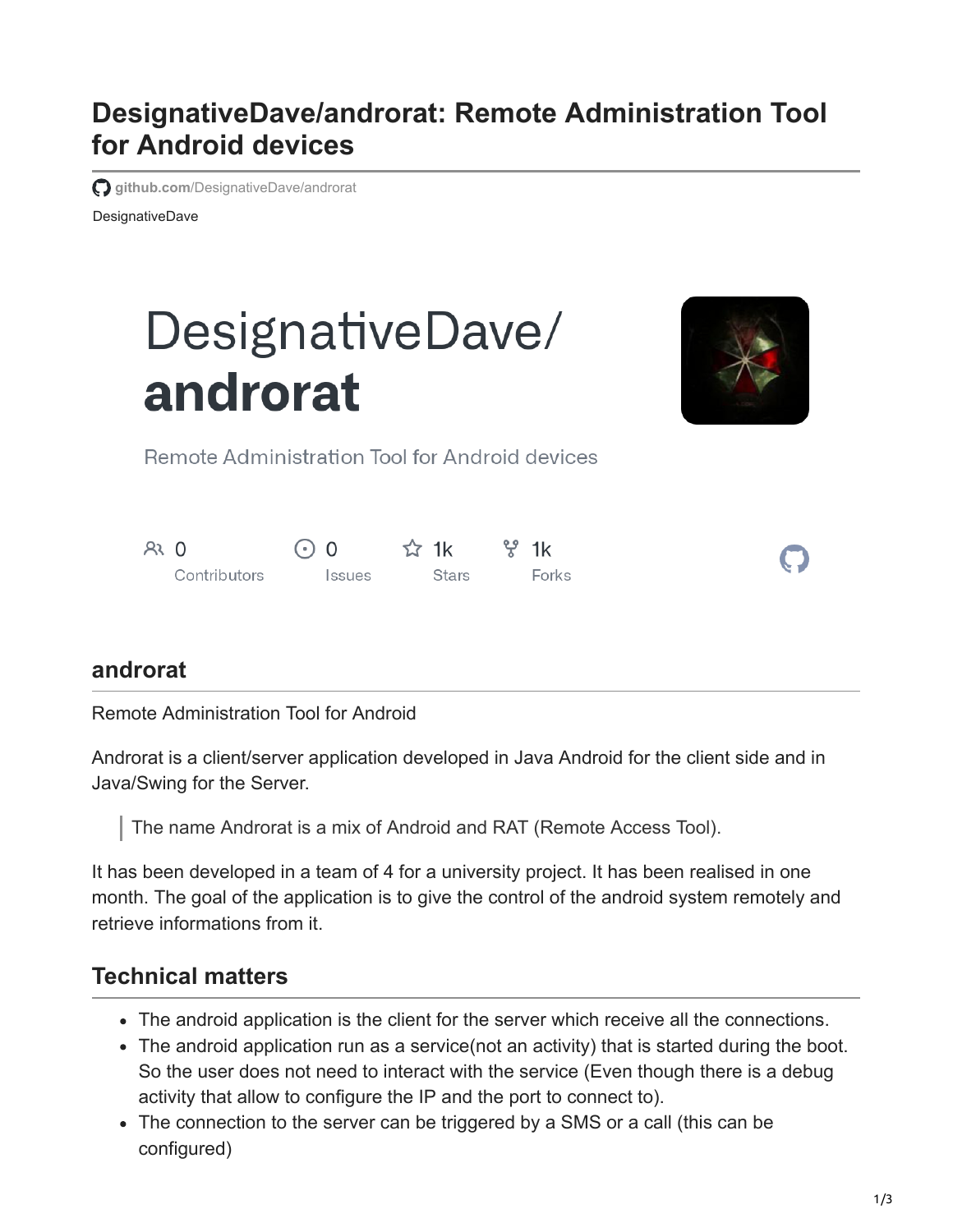# **DesignativeDave/androrat: Remote Administration Tool for Android devices**

**github.com**[/DesignativeDave/androrat](https://github.com/DesignativeDave/androrat)

DesignativeDave

# DesignativeDave/ androrat



Remote Administration Tool for Android devices

| $R3$ 0 |              | $\odot$ 0            | $\approx$ 1k | ೪ 1k  |
|--------|--------------|----------------------|--------------|-------|
|        | Contributors | <i><b>Issues</b></i> | Stars        | Forks |

#### **androrat**

Remote Administration Tool for Android

Androrat is a client/server application developed in Java Android for the client side and in Java/Swing for the Server.

The name Androrat is a mix of Android and RAT (Remote Access Tool).

It has been developed in a team of 4 for a university project. It has been realised in one month. The goal of the application is to give the control of the android system remotely and retrieve informations from it.

# **Technical matters**

- The android application is the client for the server which receive all the connections.
- The android application run as a service(not an activity) that is started during the boot. So the user does not need to interact with the service (Even though there is a debug activity that allow to configure the IP and the port to connect to).
- The connection to the server can be triggered by a SMS or a call (this can be configured)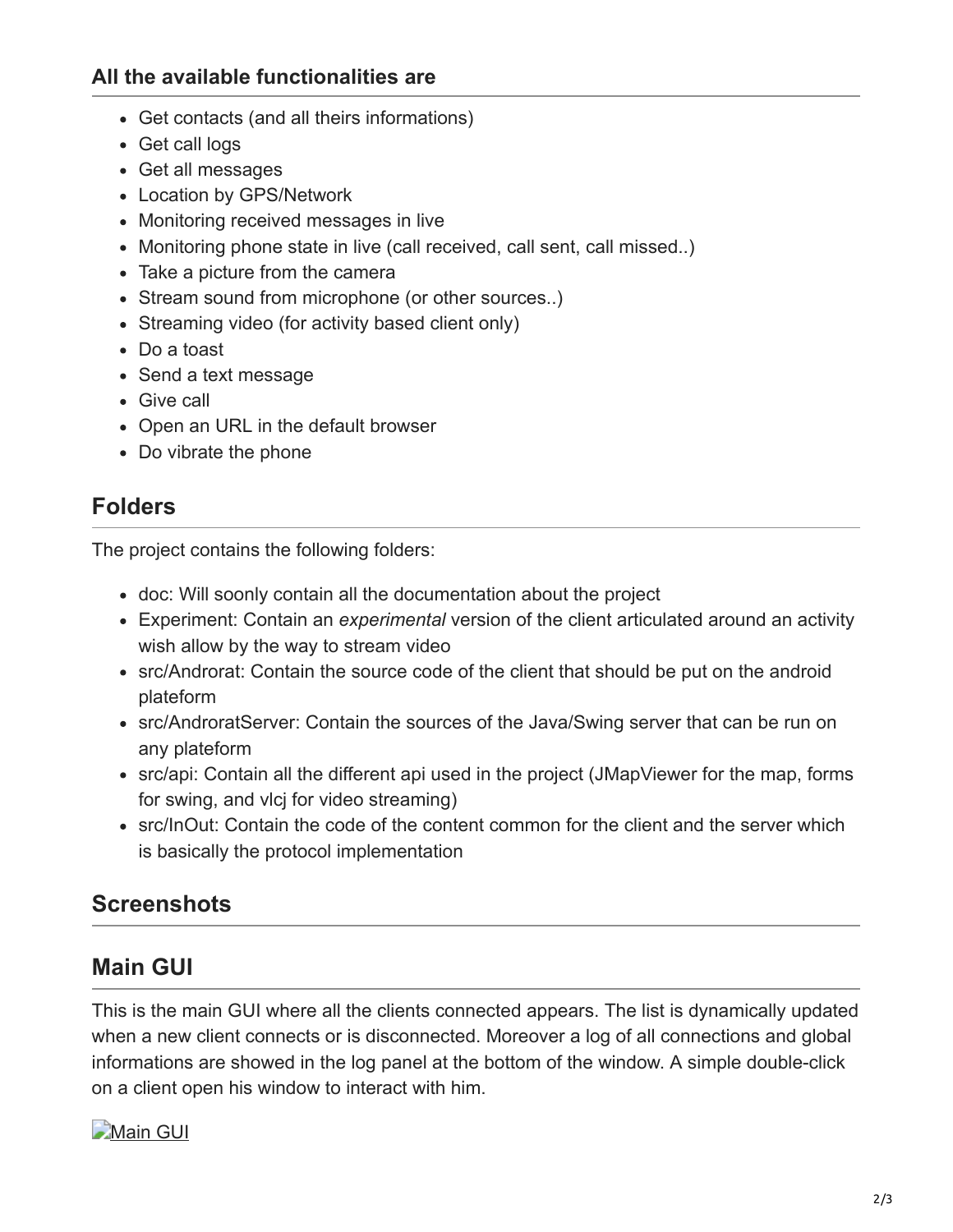#### **All the available functionalities are**

- Get contacts (and all theirs informations)
- Get call logs
- Get all messages
- Location by GPS/Network
- Monitoring received messages in live
- Monitoring phone state in live (call received, call sent, call missed..)
- Take a picture from the camera
- Stream sound from microphone (or other sources..)
- Streaming video (for activity based client only)
- Do a toast
- Send a text message
- Give call
- Open an URL in the default browser
- Do vibrate the phone

#### **Folders**

The project contains the following folders:

- doc: Will soonly contain all the documentation about the project
- Experiment: Contain an *experimental* version of the client articulated around an activity wish allow by the way to stream video
- src/Androrat: Contain the source code of the client that should be put on the android plateform
- src/AndroratServer: Contain the sources of the Java/Swing server that can be run on any plateform
- src/api: Contain all the different api used in the project (JMapViewer for the map, forms for swing, and vlcj for video streaming)
- src/InOut: Contain the code of the content common for the client and the server which is basically the protocol implementation

## **Screenshots**

## **Main GUI**

This is the main GUI where all the clients connected appears. The list is dynamically updated when a new client connects or is disconnected. Moreover a log of all connections and global informations are showed in the log panel at the bottom of the window. A simple double-click on a client open his window to interact with him.